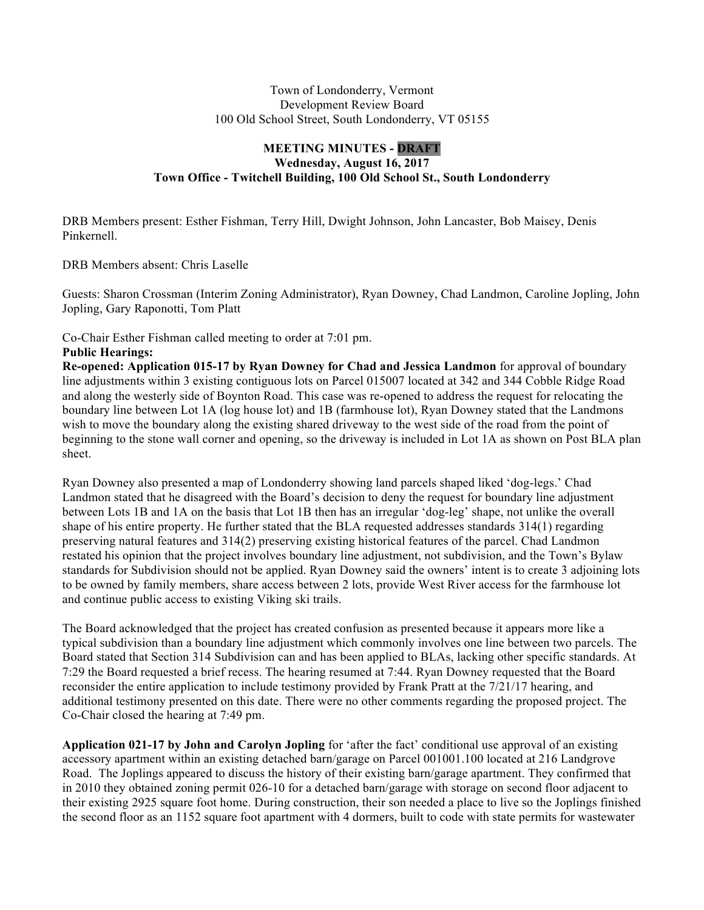### Town of Londonderry, Vermont Development Review Board 100 Old School Street, South Londonderry, VT 05155

# **MEETING MINUTES - DRAFT Wednesday, August 16, 2017 Town Office - Twitchell Building, 100 Old School St., South Londonderry**

DRB Members present: Esther Fishman, Terry Hill, Dwight Johnson, John Lancaster, Bob Maisey, Denis Pinkernell.

DRB Members absent: Chris Laselle

Guests: Sharon Crossman (Interim Zoning Administrator), Ryan Downey, Chad Landmon, Caroline Jopling, John Jopling, Gary Raponotti, Tom Platt

Co-Chair Esther Fishman called meeting to order at 7:01 pm.

## **Public Hearings:**

**Re-opened: Application 015-17 by Ryan Downey for Chad and Jessica Landmon** for approval of boundary line adjustments within 3 existing contiguous lots on Parcel 015007 located at 342 and 344 Cobble Ridge Road and along the westerly side of Boynton Road. This case was re-opened to address the request for relocating the boundary line between Lot 1A (log house lot) and 1B (farmhouse lot), Ryan Downey stated that the Landmons wish to move the boundary along the existing shared driveway to the west side of the road from the point of beginning to the stone wall corner and opening, so the driveway is included in Lot 1A as shown on Post BLA plan sheet.

Ryan Downey also presented a map of Londonderry showing land parcels shaped liked 'dog-legs.' Chad Landmon stated that he disagreed with the Board's decision to deny the request for boundary line adjustment between Lots 1B and 1A on the basis that Lot 1B then has an irregular 'dog-leg' shape, not unlike the overall shape of his entire property. He further stated that the BLA requested addresses standards 314(1) regarding preserving natural features and 314(2) preserving existing historical features of the parcel. Chad Landmon restated his opinion that the project involves boundary line adjustment, not subdivision, and the Town's Bylaw standards for Subdivision should not be applied. Ryan Downey said the owners' intent is to create 3 adjoining lots to be owned by family members, share access between 2 lots, provide West River access for the farmhouse lot and continue public access to existing Viking ski trails.

The Board acknowledged that the project has created confusion as presented because it appears more like a typical subdivision than a boundary line adjustment which commonly involves one line between two parcels. The Board stated that Section 314 Subdivision can and has been applied to BLAs, lacking other specific standards. At 7:29 the Board requested a brief recess. The hearing resumed at 7:44. Ryan Downey requested that the Board reconsider the entire application to include testimony provided by Frank Pratt at the 7/21/17 hearing, and additional testimony presented on this date. There were no other comments regarding the proposed project. The Co-Chair closed the hearing at 7:49 pm.

**Application 021-17 by John and Carolyn Jopling** for 'after the fact' conditional use approval of an existing accessory apartment within an existing detached barn/garage on Parcel 001001.100 located at 216 Landgrove Road. The Joplings appeared to discuss the history of their existing barn/garage apartment. They confirmed that in 2010 they obtained zoning permit 026-10 for a detached barn/garage with storage on second floor adjacent to their existing 2925 square foot home. During construction, their son needed a place to live so the Joplings finished the second floor as an 1152 square foot apartment with 4 dormers, built to code with state permits for wastewater